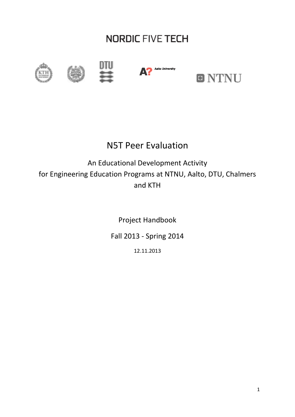# **NORDIC FIVE TECH**









# N5T Peer Evaluation

# An Educational Development Activity for Engineering Education Programs at NTNU, Aalto, DTU, Chalmers and KTH

Project Handbook

Fall 2013 - Spring 2014

12.11.2013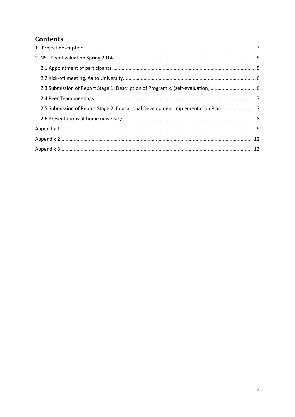# **Contents**

| 2.5 Submission of Report Stage 2: Educational Development Implementation Plan |  |
|-------------------------------------------------------------------------------|--|
|                                                                               |  |
|                                                                               |  |
|                                                                               |  |
|                                                                               |  |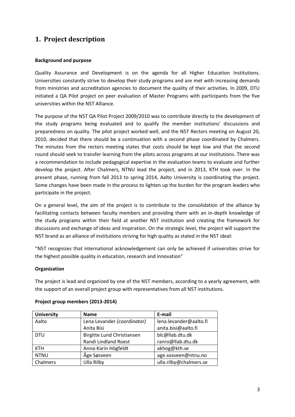## <span id="page-2-0"></span>**1. Project description**

## **Background and purpose**

Quality Assurance and Development is on the agenda for all Higher Education Institutions. Universities constantly strive to develop their study programs and are met with increasing demands from ministries and accreditation agencies to document the quality of their activities. In 2009, DTU initiated a QA Pilot project on peer evaluation of Master Programs with participants from the five universities within the N5T Alliance.

The purpose of the N5T QA Pilot Project 2009/2010 was to contribute directly to the development of the study programs being evaluated and to qualify the member institutions' discussions and preparedness on quality. The pilot project worked well, and the N5T Rectors meeting on August 20, 2010, decided that there should be a continuation with a second phase coordinated by Chalmers. The minutes from the rectors meeting states that costs should be kept low and that the second round should seek to transfer learning from the pilots across programs at our institutions. There was a recommendation to include pedagogical expertise in the evaluation teams to evaluate and further develop the project. After Chalmers, NTNU lead the project, and in 2013, KTH took over. In the present phase, running from fall 2013 to spring 2014, Aalto University is coordinating the project. Some changes have been made in the process to lighten up the burden for the program leaders who participate in the project.

On a general level, the aim of the project is to contribute to the consolidation of the alliance by facilitating contacts between faculty members and providing them with an in-depth knowledge of the study programs within their field at another N5T institution and creating the framework for discussions and exchange of ideas and inspiration. On the strategic level, the project will support the N5T brand as an alliance of institutions striving for high quality as stated in the N5T ideal:

"N5T recognizes that international acknowledgement can only be achieved if universities strive for the highest possible quality in education, research and innovation"

## **Organization**

The project is lead and organized by one of the N5T members, according to a yearly agreement, with the support of an overall project group with representatives from all N5T institutions.

| <b>University</b> | <b>Name</b>                                           | E-mail                 |  |
|-------------------|-------------------------------------------------------|------------------------|--|
| Aalto             | Lena Levander (coordinator)<br>lena.levander@aalto.fi |                        |  |
|                   | Anita Bisi                                            | anita.bisi@aalto.fi    |  |
| <b>DTU</b>        | Birgitte Lund Christiansen                            | blc@llab.dtu.dk        |  |
|                   | Randi Lindland Roest                                  | ranro@llab.dtu.dk      |  |
| <b>KTH</b>        | Anna-Karin Högfeldt                                   | akhog@kth.se           |  |
| <b>NTNU</b>       | Åge Søsveen                                           | age.sosveen@ntnu.no    |  |
| Chalmers          | Ulla Rilby                                            | ulla.rilby@chalmers.se |  |

## **Project group members (2013-2014)**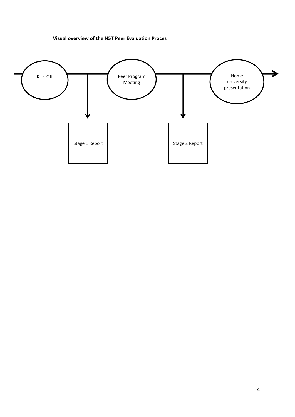### **Visual overview of the N5T Peer Evaluation Proces**

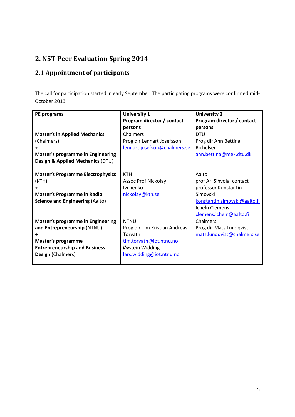# <span id="page-4-0"></span>**2. N5T Peer Evaluation Spring 2014**

# <span id="page-4-1"></span>**2.1 Appointment of participants**

The call for participation started in early September. The participating programs were confirmed mid-October 2013.

| PE programs                              | <b>University 1</b>           | <b>University 2</b>          |
|------------------------------------------|-------------------------------|------------------------------|
|                                          | Program director / contact    | Program director / contact   |
|                                          | persons                       | persons                      |
| <b>Master's in Applied Mechanics</b>     | Chalmers                      | <b>DTU</b>                   |
| (Chalmers)                               | Prog dir Lennart Josefsson    | Prog dir Ann Bettina         |
| +                                        | lennart.josefson@chalmers.se  | Richelsen                    |
| <b>Master's programme in Engineering</b> |                               | ann.bettina@mek.dtu.dk       |
| Design & Applied Mechanics (DTU)         |                               |                              |
|                                          |                               |                              |
| <b>Master's Programme Electrophysics</b> | KTH                           | Aalto                        |
| (KTH)                                    | <b>Assoc Prof Nickolay</b>    | prof Ari Sihvola, contact    |
| $\ddot{}$                                | <b>Ivchenko</b>               | professor Konstantin         |
| <b>Master's Programme in Radio</b>       | nickolay@kth.se               | Simovski                     |
| <b>Science and Engineering (Aalto)</b>   |                               | konstantin.simovski@aalto.fi |
|                                          |                               | <b>Icheln Clemens</b>        |
|                                          |                               | clemens.icheln@aalto.fi      |
| <b>Master's programme in Engineering</b> | <b>NTNU</b>                   | Chalmers                     |
| and Entrepreneurship (NTNU)              | Prog dir Tim Kristian Andreas | Prog dir Mats Lundqvist      |
| $\ddot{}$                                | Torvatn                       | mats.lundqvist@chalmers.se   |
| Master's programme                       | tim.torvatn@iot.ntnu.no       |                              |
| <b>Entrepreneurship and Business</b>     | Øystein Widding               |                              |
| Design (Chalmers)                        | lars.widding@iot.ntnu.no      |                              |
|                                          |                               |                              |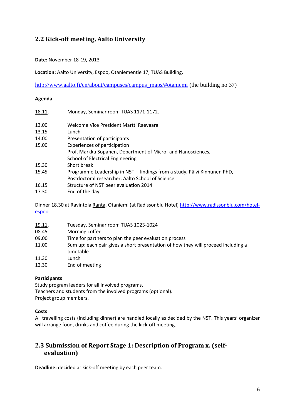## <span id="page-5-0"></span>**2.2 Kick-off meeting, Aalto University**

**Date:** November 18-19, 2013

**Location:** Aalto University, Espoo, Otaniementie 17, TUAS Building.

[http://www.aalto.fi/en/about/campuses/campus\\_maps/#otaniemi](http://www.aalto.fi/en/about/campuses/campus_maps/#otaniemi) (the building no 37)

#### **Agenda**

| 18.11. | Monday, Seminar room TUAS 1171-1172.                                     |
|--------|--------------------------------------------------------------------------|
| 13.00  | Welcome Vice President Martti Raevaara                                   |
| 13.15  | Lunch                                                                    |
| 14.00  | Presentation of participants                                             |
| 15.00  | Experiences of participation                                             |
|        | Prof. Markku Sopanen, Department of Micro- and Nanosciences,             |
|        | School of Electrical Engineering                                         |
| 15.30  | Short break                                                              |
| 15.45  | Programme Leadership in N5T - findings from a study, Päivi Kinnunen PhD, |
|        | Postdoctoral researcher, Aalto School of Science                         |
| 16.15  | Structure of N5T peer evaluation 2014                                    |
| 17.30  | End of the day                                                           |

Dinner 18.30 at Ravintola Ranta, Otaniemi (at Radissonblu Hotel) [http://www.radissonblu.com/hotel](http://www.radissonblu.com/hotel-espoo)[espoo](http://www.radissonblu.com/hotel-espoo)

| <u>19.11</u> . | Tuesday, Seminar room TUAS 1023-1024                                                           |
|----------------|------------------------------------------------------------------------------------------------|
| 08.45          | Morning coffee                                                                                 |
| 09.00          | Time for partners to plan the peer evaluation process                                          |
| 11.00          | Sum up: each pair gives a short presentation of how they will proceed including a<br>timetable |
| 11.30          | Lunch                                                                                          |
| 12.30          | End of meeting                                                                                 |

#### **Participants**

Study program leaders for all involved programs. Teachers and students from the involved programs (optional). Project group members.

## **Costs**

All travelling costs (including dinner) are handled locally as decided by the N5T. This years' organizer will arrange food, drinks and coffee during the kick-off meeting.

## <span id="page-5-1"></span>**2.3 Submission of Report Stage 1: Description of Program x. (selfevaluation)**

**Deadline:** decided at kick-off meeting by each peer team.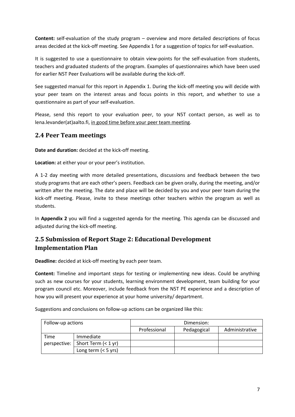**Content:** self-evaluation of the study program – overview and more detailed descriptions of focus areas decided at the kick-off meeting. See Appendix 1 for a suggestion of topics for self-evaluation.

It is suggested to use a questionnaire to obtain view-points for the self-evaluation from students, teachers and graduated students of the program. Examples of questionnaires which have been used for earlier N5T Peer Evaluations will be available during the kick-off.

See suggested manual for this report in Appendix 1. During the kick-off meeting you will decide with your peer team on the interest areas and focus points in this report, and whether to use a questionnaire as part of your self-evaluation.

Please, send this report to your evaluation peer, to your N5T contact person, as well as to lena.levander(at)aalto.fi, in good time before your peer team meeting.

## <span id="page-6-0"></span>**2.4 Peer Team meetings**

**Date and duration:** decided at the kick-off meeting.

**Location:** at either your or your peer's institution.

A 1-2 day meeting with more detailed presentations, discussions and feedback between the two study programs that are each other's peers. Feedback can be given orally, during the meeting, and/or written after the meeting. The date and place will be decided by you and your peer team during the kick-off meeting. Please, invite to these meetings other teachers within the program as well as students.

In **Appendix 2** you will find a suggested agenda for the meeting. This agenda can be discussed and adjusted during the kick-off meeting.

## <span id="page-6-1"></span>**2.5 Submission of Report Stage 2: Educational Development Implementation Plan**

**Deadline:** decided at kick-off meeting by each peer team.

**Content:** Timeline and important steps for testing or implementing new ideas. Could be anything such as new courses for your students, learning environment development, team building for your program council etc. Moreover, include feedback from the N5T PE experience and a description of how you will present your experience at your home university/ department.

Suggestions and conclusions on follow-up actions can be organized like this:

| Follow-up actions |                       | Dimension:   |             |                |
|-------------------|-----------------------|--------------|-------------|----------------|
|                   |                       | Professional | Pedagogical | Administrative |
| Time              | Immediate             |              |             |                |
| perspective:      | Short Term $(< 1 yr)$ |              |             |                |
|                   | Long term $(< 5$ yrs) |              |             |                |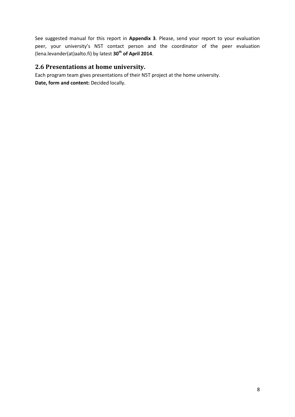See suggested manual for this report in **Appendix 3**. Please, send your report to your evaluation peer, your university's N5T contact person and the coordinator of the peer evaluation (lena.levander(at)aalto.fi) by latest **30th of April 2014**.

## <span id="page-7-0"></span>**2.6 Presentations at home university.**

Each program team gives presentations of their N5T project at the home university. **Date, form and content:** Decided locally.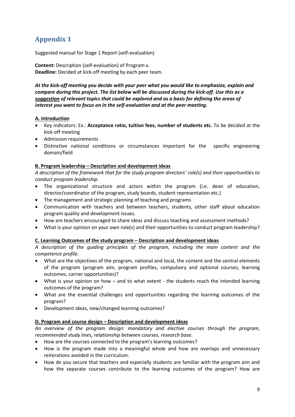# <span id="page-8-0"></span>**Appendix 1**

Suggested manual for Stage 1 Report (self-evaluation)

**Content:** Description (self-evaluation) of Program x. **Deadline:** Decided at kick-off meeting by each peer team.

*At the kick-off meeting you decide with your peer what you would like to emphasize, explain and compare during this project. The list below will be discussed during the kick-off. Use this as a suggestion of relevant topics that could be explored and as a basis for defining the areas of interest you want to focus on in the self-evaluation and at the peer meeting.*

## **A. Introduction**

- Key indicators: Ex.: **Acceptance ratio, tuition fees, number of students etc.** To be decided at the kick-off meeting
- Admission requirements
- Distinctive national conditions or circumstances important for the specific engineering domain/field

## **B. Program leadership – Description and development ideas**

*A description of the framework that for the study program directors' role(s) and their opportunities to conduct program leadership.*

- The organizational structure and actors within the program (i.e. dean of education, director/coordinator of the program, study boards, student representation etc.)
- The management and strategic planning of teaching and programs
- Communication with teachers and between teachers, students, other staff about education program quality and development issues.
- How are teachers encouraged to share ideas and discuss teaching and assessment methods?
- What is your opinion on your own role(s) and their opportunities to conduct program leadership?

## **C. Learning Outcomes of the study program – Description and development ideas**

*A description of the guiding principles of the program, including the main content and the competence profile.* 

- What are the objectives of the program, national and local, the content and the central elements of the program (program aim, program profiles, compulsory and optional courses, learning outcomes, carrier opportunities)?
- What is your opinion on how and to what extent the students reach the intended learning outcomes of the program?
- What are the essential challenges and opportunities regarding the learning outcomes of the program?
- Development ideas, new/changed learning outcomes?

## **D. Program and course design – Description and development ideas**

*An overview of the program design: mandatory and elective courses through the program, recommended study lines, relationship between courses, research base.*

- How are the courses connected to the program's learning outcomes?
- How is the program made into a meaningful whole and how are overlaps and unnecessary reiterations avoided in the curriculum.
- How do you secure that teachers and especially students are familiar with the program aim and how the separate courses contribute to the learning outcomes of the program? How are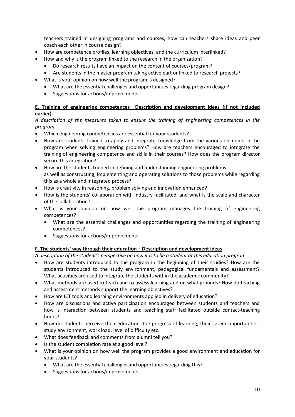teachers trained in designing programs and courses, how can teachers share ideas and peer coach each other in course design?

- How are competence profiles, learning objectives, and the curriculum interlinked?
- How and why is the program linked to the research in the organization?
	- Do research results have an impact on the content of courses/program?
	- Are students in the master program taking active part or linked to research projects?
- What is your opinion on how well the program is designed?
	- What are the essential challenges and opportunities regarding program design?
	- Suggestions for actions/improvements.

## **E. Training of engineering competences Description and development ideas (if not included earlier)**

*A description of the measures taken to ensure the training of engineering competences in the program.*

- Which engineering competencies are essential for your students?
- How are students trained to apply and integrate knowledge from the various elements in the program when solving engineering problems? How are teachers encouraged to integrate the training of engineering competence and skills in their courses? How does the program director secure this integration?
- How are the students trained in defining and understanding engineering problems as well as constructing, implementing and operating solutions to those problems while regarding this as a whole and integrated process?
- How is creativity in reasoning, problem solving and innovation enhanced?
- How is the students' collaboration with industry facilitated, and what is the scale and character of the collaboration?
- What is your opinion on how well the program manages the training of engineering competences?
	- What are the essential challenges and opportunities regarding the training of engineering competences?
	- Suggestions for actions/improvements.

## **F. The students' way through their education – Description and development ideas**

*A description of the student's perspective on how it is to be a student at this education program.*

- How are students introduced to the program in the beginning of their studies? How are the students introduced to the study environment, pedagogical fundamentals and assessment? What activities are used to integrate the students within the academic community?
- What methods are used to teach and to assess learning and on what grounds? How do teaching and assessment methods support the learning objectives?
- How are ICT tools and learning environments applied in delivery of education?
- How are discussions and active participation encouraged between students and teachers and how is interaction between students and teaching staff facilitated outside contact-teaching hours?
- How do students perceive their education, the progress of learning, their career opportunities, study environment, work load, level of difficulty etc.
- What does feedback and comments from alumni tell you?
- Is the student completion rate at a good level?
- What is your opinion on how well the program provides a good environment and education for your students?
	- What are the essential challenges and opportunities regarding this?
	- Suggestions for actions/improvements.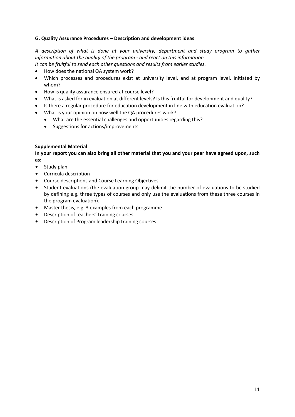## **G. Quality Assurance Procedures – Description and development ideas**

*A description of what is done at your university, department and study program to gather information about the quality of the program - and react on this information.*

- *It can be fruitful to send each other questions and results from earlier studies.*
- How does the national QA system work?
- Which processes and procedures exist at university level, and at program level. Initiated by whom?
- How is quality assurance ensured at course level?
- What is asked for in evaluation at different levels? Is this fruitful for development and quality?
- Is there a regular procedure for education development in line with education evaluation?
- What is your opinion on how well the QA procedures work?
	- What are the essential challenges and opportunities regarding this?
	- Suggestions for actions/improvements.

## **Supplemental Material**

**In your report you can also bring all other material that you and your peer have agreed upon, such as:**

- Study plan
- Curricula description
- Course descriptions and Course Learning Objectives
- Student evaluations (the evaluation group may delimit the number of evaluations to be studied by defining e.g. three types of courses and only use the evaluations from these three courses in the program evaluation).
- Master thesis, e.g. 3 examples from each programme
- Description of teachers' training courses
- Description of Program leadership training courses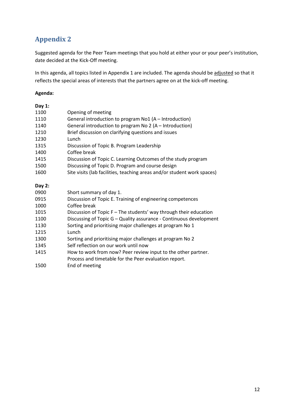# <span id="page-11-0"></span>**Appendix 2**

Suggested agenda for the Peer Team meetings that you hold at either your or your peer's institution, date decided at the Kick-Off meeting.

In this agenda, all topics listed in Appendix 1 are included. The agenda should be adjusted so that it reflects the special areas of interests that the partners agree on at the kick-off meeting.

### **Agenda:**

| Day $1:$ |                                                                         |
|----------|-------------------------------------------------------------------------|
| 1100     | Opening of meeting                                                      |
| 1110     | General introduction to program No1 (A - Introduction)                  |
| 1140     | General introduction to program No 2 (A - Introduction)                 |
| 1210     | Brief discussion on clarifying questions and issues                     |
| 1230     | Lunch                                                                   |
| 1315     | Discussion of Topic B. Program Leadership                               |
| 1400     | Coffee break                                                            |
| 1415     | Discussion of Topic C. Learning Outcomes of the study program           |
| 1500     | Discussing of Topic D. Program and course design                        |
| 1600     | Site visits (lab facilities, teaching areas and/or student work spaces) |
| Day 2:   |                                                                         |
| 0900     | Short summary of day 1.                                                 |
| 0915     | Discussion of Topic E. Training of engineering competences              |
| 1000     | Coffee break                                                            |
| 1015     | Discussion of Topic F - The students' way through their education       |
| 1100     | Discussing of Topic G - Quality assurance - Continuous development      |
| 1130     | Sorting and prioritising major challenges at program No 1               |
| 1215     | Lunch                                                                   |
| 1300     | Sorting and prioritising major challenges at program No 2               |
| 1345     | Self reflection on our work until now                                   |
| 1415     | How to work from now? Peer review input to the other partner.           |
| 1500     | Process and timetable for the Peer evaluation report.<br>End of meeting |
|          |                                                                         |